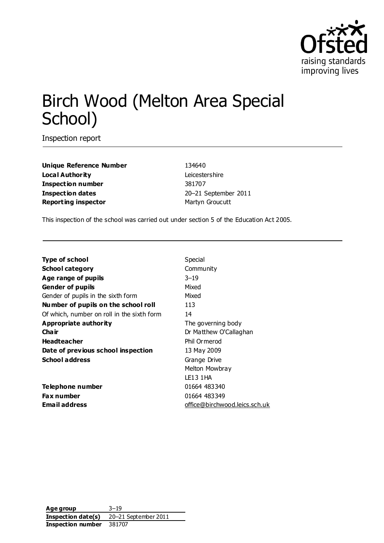

# Birch Wood (Melton Area Special School)

Inspection report

**Unique Reference Number** 134640 **Local Authority** Leicestershire **Inspection number** 381707 **Inspection dates** 20–21 September 2011 **Reporting inspector** Martyn Groucutt

This inspection of the school was carried out under section 5 of the Education Act 2005.

| Community<br><b>School category</b><br>$3 - 19$<br>Age range of pupils<br>Mixed<br><b>Gender of pupils</b><br>Gender of pupils in the sixth form<br>Mixed<br>Number of pupils on the school roll<br>113<br>Of which, number on roll in the sixth form<br>14<br>Appropriate authority<br>The governing body |  |
|------------------------------------------------------------------------------------------------------------------------------------------------------------------------------------------------------------------------------------------------------------------------------------------------------------|--|
|                                                                                                                                                                                                                                                                                                            |  |
|                                                                                                                                                                                                                                                                                                            |  |
|                                                                                                                                                                                                                                                                                                            |  |
|                                                                                                                                                                                                                                                                                                            |  |
|                                                                                                                                                                                                                                                                                                            |  |
|                                                                                                                                                                                                                                                                                                            |  |
|                                                                                                                                                                                                                                                                                                            |  |
| Cha ir<br>Dr Matthew O'Callaghan                                                                                                                                                                                                                                                                           |  |
| Phil Ormerod<br><b>Headteacher</b>                                                                                                                                                                                                                                                                         |  |
| Date of previous school inspection<br>13 May 2009                                                                                                                                                                                                                                                          |  |
| <b>School address</b><br>Grange Drive                                                                                                                                                                                                                                                                      |  |
| Melton Mowbray                                                                                                                                                                                                                                                                                             |  |
| LE13 1 HA                                                                                                                                                                                                                                                                                                  |  |
| 01664 483340<br>Telephone number                                                                                                                                                                                                                                                                           |  |
| Fax number<br>01664 483349                                                                                                                                                                                                                                                                                 |  |
| <b>Email address</b><br>office@birchwood.leics.sch.uk                                                                                                                                                                                                                                                      |  |

**Age group** 3–19 **Inspection date(s)** 20–21 September 2011 **Inspection number** 381707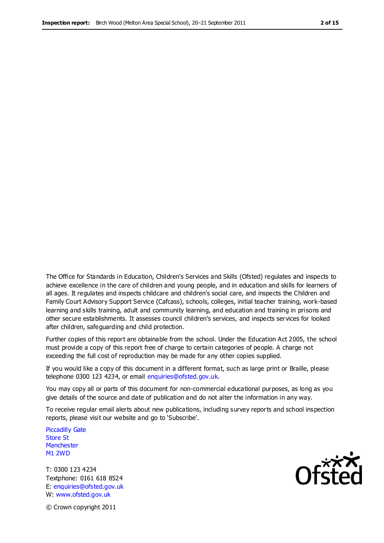The Office for Standards in Education, Children's Services and Skills (Ofsted) regulates and inspects to achieve excellence in the care of children and young people, and in education and skills for learners of all ages. It regulates and inspects childcare and children's social care, and inspects the Children and Family Court Advisory Support Service (Cafcass), schools, colleges, initial teacher training, work-based learning and skills training, adult and community learning, and education and training in prisons and other secure establishments. It assesses council children's services, and inspects services for looked after children, safeguarding and child protection.

Further copies of this report are obtainable from the school. Under the Education Act 2005, the school must provide a copy of this report free of charge to certain categories of people. A charge not exceeding the full cost of reproduction may be made for any other copies supplied.

If you would like a copy of this document in a different format, such as large print or Braille, please telephone 0300 123 4234, or email enquiries@ofsted.gov.uk.

You may copy all or parts of this document for non-commercial educational purposes, as long as you give details of the source and date of publication and do not alter the information in any way.

To receive regular email alerts about new publications, including survey reports and school inspection reports, please visit our website and go to 'Subscribe'.

Piccadilly Gate Store St **Manchester** M1 2WD

T: 0300 123 4234 Textphone: 0161 618 8524 E: enquiries@ofsted.gov.uk W: www.ofsted.gov.uk

**Ofsted** 

© Crown copyright 2011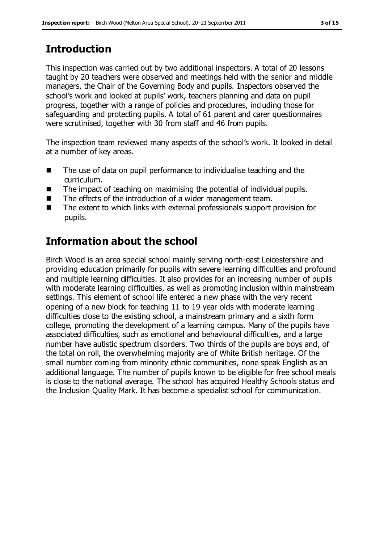# **Introduction**

This inspection was carried out by two additional inspectors. A total of 20 lessons taught by 20 teachers were observed and meetings held with the senior and middle managers, the Chair of the Governing Body and pupils. Inspectors observed the school's work and looked at pupils' work, teachers planning and data on pupil progress, together with a range of policies and procedures, including those for safeguarding and protecting pupils. A total of 61 parent and carer questionnaires were scrutinised, together with 30 from staff and 46 from pupils.

The inspection team reviewed many aspects of the school's work. It looked in detail at a number of key areas.

- The use of data on pupil performance to individualise teaching and the curriculum.
- The impact of teaching on maximising the potential of individual pupils.
- The effects of the introduction of a wider management team.
- The extent to which links with external professionals support provision for pupils.

# **Information about the school**

Birch Wood is an area special school mainly serving north-east Leicestershire and providing education primarily for pupils with severe learning difficulties and profound and multiple learning difficulties. It also provides for an increasing number of pupils with moderate learning difficulties, as well as promoting inclusion within mainstream settings. This element of school life entered a new phase with the very recent opening of a new block for teaching 11 to 19 year olds with moderate learning difficulties close to the existing school, a mainstream primary and a sixth form college, promoting the development of a learning campus. Many of the pupils have associated difficulties, such as emotional and behavioural difficulties, and a large number have autistic spectrum disorders. Two thirds of the pupils are boys and, of the total on roll, the overwhelming majority are of White British heritage. Of the small number coming from minority ethnic communities, none speak English as an additional language. The number of pupils known to be eligible for free school meals is close to the national average. The school has acquired Healthy Schools status and the Inclusion Quality Mark. It has become a specialist school for communication.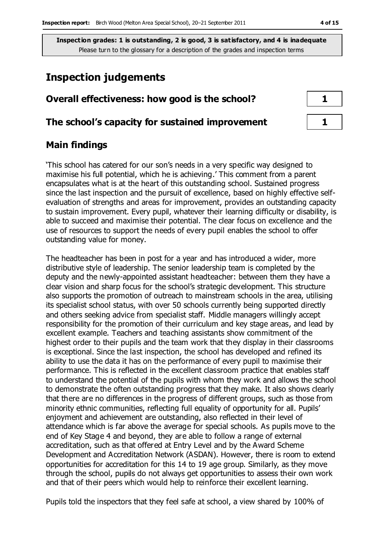## **Inspection judgements**

#### **Overall effectiveness: how good is the school? 1**

#### **The school's capacity for sustained improvement 1**

## **Main findings**

'This school has catered for our son's needs in a very specific way designed to maximise his full potential, which he is achieving.' This comment from a parent encapsulates what is at the heart of this outstanding school. Sustained progress since the last inspection and the pursuit of excellence, based on highly effective selfevaluation of strengths and areas for improvement, provides an outstanding capacity to sustain improvement. Every pupil, whatever their learning difficulty or disability, is able to succeed and maximise their potential. The clear focus on excellence and the use of resources to support the needs of every pupil enables the school to offer outstanding value for money.

The headteacher has been in post for a year and has introduced a wider, more distributive style of leadership. The senior leadership team is completed by the deputy and the newly-appointed assistant headteacher: between them they have a clear vision and sharp focus for the school's strategic development. This structure also supports the promotion of outreach to mainstream schools in the area, utilising its specialist school status, with over 50 schools currently being supported directly and others seeking advice from specialist staff. Middle managers willingly accept responsibility for the promotion of their curriculum and key stage areas, and lead by excellent example. Teachers and teaching assistants show commitment of the highest order to their pupils and the team work that they display in their classrooms is exceptional. Since the last inspection, the school has developed and refined its ability to use the data it has on the performance of every pupil to maximise their performance. This is reflected in the excellent classroom practice that enables staff to understand the potential of the pupils with whom they work and allows the school to demonstrate the often outstanding progress that they make. It also shows clearly that there are no differences in the progress of different groups, such as those from minority ethnic communities, reflecting full equality of opportunity for all. Pupils' enjoyment and achievement are outstanding, also reflected in their level of attendance which is far above the average for special schools. As pupils move to the end of Key Stage 4 and beyond, they are able to follow a range of external accreditation, such as that offered at Entry Level and by the Award Scheme Development and Accreditation Network (ASDAN). However, there is room to extend opportunities for accreditation for this 14 to 19 age group. Similarly, as they move through the school, pupils do not always get opportunities to assess their own work and that of their peers which would help to reinforce their excellent learning.

Pupils told the inspectors that they feel safe at school, a view shared by 100% of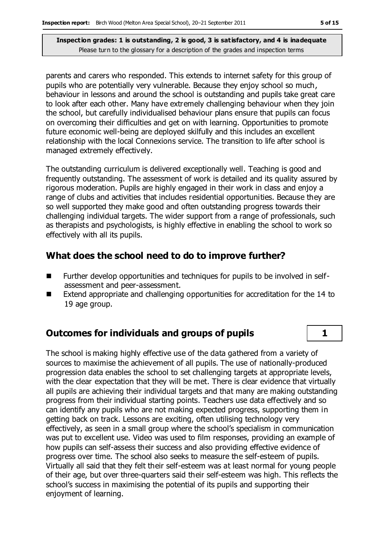parents and carers who responded. This extends to internet safety for this group of pupils who are potentially very vulnerable. Because they enjoy school so much, behaviour in lessons and around the school is outstanding and pupils take great care to look after each other. Many have extremely challenging behaviour when they join the school, but carefully individualised behaviour plans ensure that pupils can focus on overcoming their difficulties and get on with learning. Opportunities to promote future economic well-being are deployed skilfully and this includes an excellent relationship with the local Connexions service. The transition to life after school is managed extremely effectively.

The outstanding curriculum is delivered exceptionally well. Teaching is good and frequently outstanding. The assessment of work is detailed and its quality assured by rigorous moderation. Pupils are highly engaged in their work in class and enjoy a range of clubs and activities that includes residential opportunities. Because they are so well supported they make good and often outstanding progress towards their challenging individual targets. The wider support from a range of professionals, such as therapists and psychologists, is highly effective in enabling the school to work so effectively with all its pupils.

## **What does the school need to do to improve further?**

- Further develop opportunities and techniques for pupils to be involved in selfassessment and peer-assessment.
- Extend appropriate and challenging opportunities for accreditation for the 14 to 19 age group.

## **Outcomes for individuals and groups of pupils 1**

The school is making highly effective use of the data gathered from a variety of sources to maximise the achievement of all pupils. The use of nationally-produced progression data enables the school to set challenging targets at appropriate levels, with the clear expectation that they will be met. There is clear evidence that virtually all pupils are achieving their individual targets and that many are making outstanding progress from their individual starting points. Teachers use data effectively and so can identify any pupils who are not making expected progress, supporting them in getting back on track. Lessons are exciting, often utilising technology very effectively, as seen in a small group where the school's specialism in communication was put to excellent use. Video was used to film responses, providing an example of how pupils can self-assess their success and also providing effective evidence of progress over time. The school also seeks to measure the self-esteem of pupils. Virtually all said that they felt their self-esteem was at least normal for young people of their age, but over three-quarters said their self-esteem was high. This reflects the school's success in maximising the potential of its pupils and supporting their enjoyment of learning.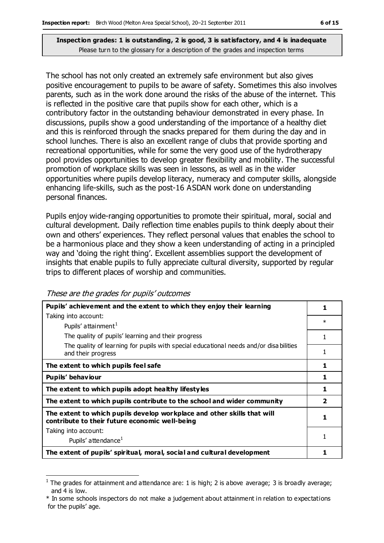The school has not only created an extremely safe environment but also gives positive encouragement to pupils to be aware of safety. Sometimes this also involves parents, such as in the work done around the risks of the abuse of the internet. This is reflected in the positive care that pupils show for each other, which is a contributory factor in the outstanding behaviour demonstrated in every phase. In discussions, pupils show a good understanding of the importance of a healthy diet and this is reinforced through the snacks prepared for them during the day and in school lunches. There is also an excellent range of clubs that provide sporting and recreational opportunities, while for some the very good use of the hydrotherapy pool provides opportunities to develop greater flexibility and mobility. The successful promotion of workplace skills was seen in lessons, as well as in the wider opportunities where pupils develop literacy, numeracy and computer skills, alongside enhancing life-skills, such as the post-16 ASDAN work done on understanding personal finances.

Pupils enjoy wide-ranging opportunities to promote their spiritual, moral, social and cultural development. Daily reflection time enables pupils to think deeply about their own and others' experiences. They reflect personal values that enables the school to be a harmonious place and they show a keen understanding of acting in a principled way and 'doing the right thing'. Excellent assemblies support the development of insights that enable pupils to fully appreciate cultural diversity, supported by regular trips to different places of worship and communities.

These are the grades for pupils' outcomes

 $\overline{a}$ 

| Pupils' achievement and the extent to which they enjoy their learning                                                     | 1      |
|---------------------------------------------------------------------------------------------------------------------------|--------|
| Taking into account:                                                                                                      | $\ast$ |
| Pupils' attainment <sup>1</sup>                                                                                           |        |
| The quality of pupils' learning and their progress                                                                        |        |
| The quality of learning for pupils with special educational needs and/or disabilities<br>and their progress               |        |
| The extent to which pupils feel safe                                                                                      |        |
| Pupils' behaviour                                                                                                         |        |
| The extent to which pupils adopt healthy lifestyles                                                                       | 1      |
| The extent to which pupils contribute to the school and wider community                                                   | 2      |
| The extent to which pupils develop workplace and other skills that will<br>contribute to their future economic well-being | 1      |
| Taking into account:                                                                                                      |        |
| Pupils' attendance <sup>1</sup>                                                                                           |        |
| The extent of pupils' spiritual, moral, social and cultural development                                                   |        |

<sup>&</sup>lt;sup>1</sup> The grades for attainment and attendance are: 1 is high; 2 is above average; 3 is broadly average; and 4 is low.

<sup>\*</sup> In some schools inspectors do not make a judgement about attainment in relation to expectations for the pupils' age.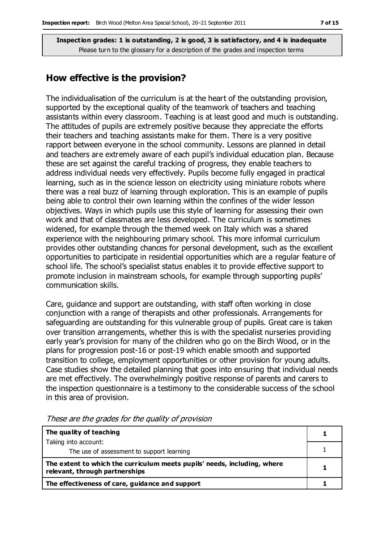#### **How effective is the provision?**

The individualisation of the curriculum is at the heart of the outstanding provision, supported by the exceptional quality of the teamwork of teachers and teaching assistants within every classroom. Teaching is at least good and much is outstanding. The attitudes of pupils are extremely positive because they appreciate the efforts their teachers and teaching assistants make for them. There is a very positive rapport between everyone in the school community. Lessons are planned in detail and teachers are extremely aware of each pupil's individual education plan. Because these are set against the careful tracking of progress, they enable teachers to address individual needs very effectively. Pupils become fully engaged in practical learning, such as in the science lesson on electricity using miniature robots where there was a real buzz of learning through exploration. This is an example of pupils being able to control their own learning within the confines of the wider lesson objectives. Ways in which pupils use this style of learning for assessing their own work and that of classmates are less developed. The curriculum is sometimes widened, for example through the themed week on Italy which was a shared experience with the neighbouring primary school. This more informal curriculum provides other outstanding chances for personal development, such as the excellent opportunities to participate in residential opportunities which are a regular feature of school life. The school's specialist status enables it to provide effective support to promote inclusion in mainstream schools, for example through supporting pupils' communication skills.

Care, guidance and support are outstanding, with staff often working in close conjunction with a range of therapists and other professionals. Arrangements for safeguarding are outstanding for this vulnerable group of pupils. Great care is taken over transition arrangements, whether this is with the specialist nurseries providing early year's provision for many of the children who go on the Birch Wood, or in the plans for progression post-16 or post-19 which enable smooth and supported transition to college, employment opportunities or other provision for young adults. Case studies show the detailed planning that goes into ensuring that individual needs are met effectively. The overwhelmingly positive response of parents and carers to the inspection questionnaire is a testimony to the considerable success of the school in this area of provision.

| The quality of teaching                                                                                    |  |
|------------------------------------------------------------------------------------------------------------|--|
| Taking into account:                                                                                       |  |
| The use of assessment to support learning                                                                  |  |
| The extent to which the curriculum meets pupils' needs, including, where<br>relevant, through partnerships |  |
| The effectiveness of care, guidance and support                                                            |  |

These are the grades for the quality of provision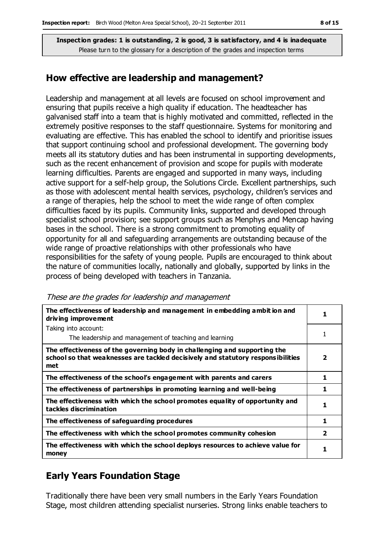#### **How effective are leadership and management?**

Leadership and management at all levels are focused on school improvement and ensuring that pupils receive a high quality if education. The headteacher has galvanised staff into a team that is highly motivated and committed, reflected in the extremely positive responses to the staff questionnaire. Systems for monitoring and evaluating are effective. This has enabled the school to identify and prioritise issues that support continuing school and professional development. The governing body meets all its statutory duties and has been instrumental in supporting developments, such as the recent enhancement of provision and scope for pupils with moderate learning difficulties. Parents are engaged and supported in many ways, including active support for a self-help group, the Solutions Circle. Excellent partnerships, such as those with adolescent mental health services, psychology, children's services and a range of therapies, help the school to meet the wide range of often complex difficulties faced by its pupils. Community links, supported and developed through specialist school provision; see support groups such as Menphys and Mencap having bases in the school. There is a strong commitment to promoting equality of opportunity for all and safeguarding arrangements are outstanding because of the wide range of proactive relationships with other professionals who have responsibilities for the safety of young people. Pupils are encouraged to think about the nature of communities locally, nationally and globally, supported by links in the process of being developed with teachers in Tanzania.

|  |  | These are the grades for leadership and management |
|--|--|----------------------------------------------------|
|  |  |                                                    |

| The effectiveness of leadership and management in embedding ambit ion and<br>driving improvement                                                                    |                |
|---------------------------------------------------------------------------------------------------------------------------------------------------------------------|----------------|
| Taking into account:                                                                                                                                                |                |
| The leadership and management of teaching and learning                                                                                                              | 1              |
| The effectiveness of the governing body in challenging and supporting the<br>school so that weaknesses are tackled decisively and statutory responsibilities<br>met | 2              |
| The effectiveness of the school's engagement with parents and carers                                                                                                | 1              |
| The effectiveness of partnerships in promoting learning and well-being                                                                                              | 1              |
| The effectiveness with which the school promotes equality of opportunity and<br>tackles discrimination                                                              | 1              |
| The effectiveness of safeguarding procedures                                                                                                                        | 1              |
| The effectiveness with which the school promotes community cohesion                                                                                                 | $\overline{2}$ |
| The effectiveness with which the school deploys resources to achieve value for<br>money                                                                             |                |

## **Early Years Foundation Stage**

Traditionally there have been very small numbers in the Early Years Foundation Stage, most children attending specialist nurseries. Strong links enable teachers to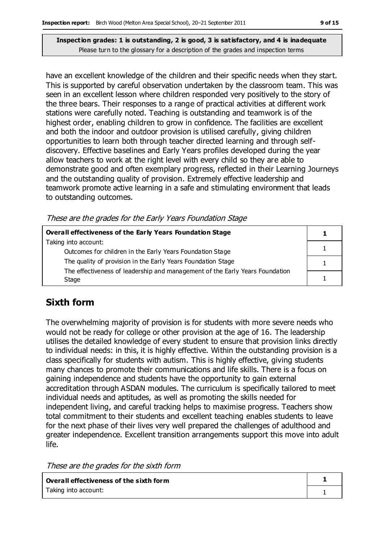have an excellent knowledge of the children and their specific needs when they start. This is supported by careful observation undertaken by the classroom team. This was seen in an excellent lesson where children responded very positively to the story of the three bears. Their responses to a range of practical activities at different work stations were carefully noted. Teaching is outstanding and teamwork is of the highest order, enabling children to grow in confidence. The facilities are excellent and both the indoor and outdoor provision is utilised carefully, giving children opportunities to learn both through teacher directed learning and through selfdiscovery. Effective baselines and Early Years profiles developed during the year allow teachers to work at the right level with every child so they are able to demonstrate good and often exemplary progress, reflected in their Learning Journeys and the outstanding quality of provision. Extremely effective leadership and teamwork promote active learning in a safe and stimulating environment that leads to outstanding outcomes.

These are the grades for the Early Years Foundation Stage

| <b>Overall effectiveness of the Early Years Foundation Stage</b>             |  |
|------------------------------------------------------------------------------|--|
| Taking into account:                                                         |  |
| Outcomes for children in the Early Years Foundation Stage                    |  |
| The quality of provision in the Early Years Foundation Stage                 |  |
| The effectiveness of leadership and management of the Early Years Foundation |  |
| Stage                                                                        |  |

## **Sixth form**

The overwhelming majority of provision is for students with more severe needs who would not be ready for college or other provision at the age of 16. The leadership utilises the detailed knowledge of every student to ensure that provision links directly to individual needs: in this, it is highly effective. Within the outstanding provision is a class specifically for students with autism. This is highly effective, giving students many chances to promote their communications and life skills. There is a focus on gaining independence and students have the opportunity to gain external accreditation through ASDAN modules. The curriculum is specifically tailored to meet individual needs and aptitudes, as well as promoting the skills needed for independent living, and careful tracking helps to maximise progress. Teachers show total commitment to their students and excellent teaching enables students to leave for the next phase of their lives very well prepared the challenges of adulthood and greater independence. Excellent transition arrangements support this move into adult life.

These are the grades for the sixth form

| Overall effectiveness of the sixth form |  |
|-----------------------------------------|--|
| Taking into account:                    |  |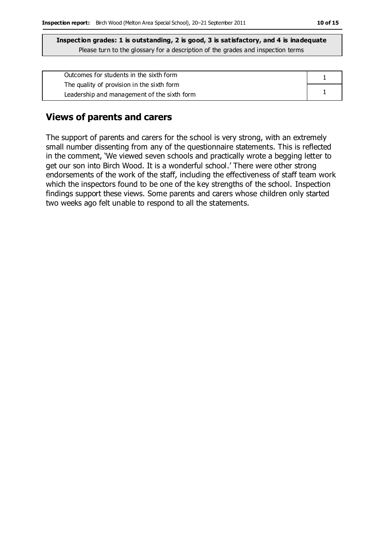| Outcomes for students in the sixth form     |  |
|---------------------------------------------|--|
| The quality of provision in the sixth form  |  |
| Leadership and management of the sixth form |  |

#### **Views of parents and carers**

The support of parents and carers for the school is very strong, with an extremely small number dissenting from any of the questionnaire statements. This is reflected in the comment, 'We viewed seven schools and practically wrote a begging letter to get our son into Birch Wood. It is a wonderful school.' There were other strong endorsements of the work of the staff, including the effectiveness of staff team work which the inspectors found to be one of the key strengths of the school. Inspection findings support these views. Some parents and carers whose children only started two weeks ago felt unable to respond to all the statements.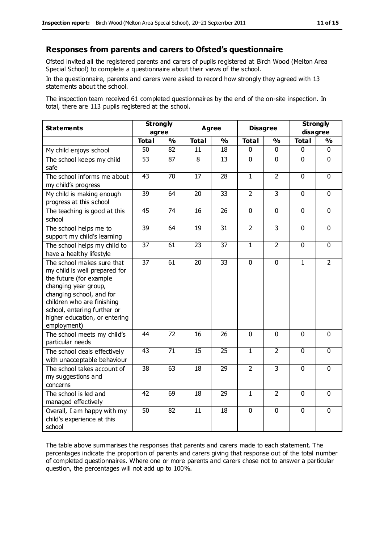#### **Responses from parents and carers to Ofsted's questionnaire**

Ofsted invited all the registered parents and carers of pupils registered at Birch Wood (Melton Area Special School) to complete a questionnaire about their views of the school.

In the questionnaire, parents and carers were asked to record how strongly they agreed with 13 statements about the school.

The inspection team received 61 completed questionnaires by the end of the on-site inspection. In total, there are 113 pupils registered at the school.

| <b>Statements</b>                                                                                                                                                                                                                                       | <b>Strongly</b><br>agree |                 | <b>Agree</b>    |                 | <b>Disagree</b> |                | <b>Strongly</b><br>disagree |                |
|---------------------------------------------------------------------------------------------------------------------------------------------------------------------------------------------------------------------------------------------------------|--------------------------|-----------------|-----------------|-----------------|-----------------|----------------|-----------------------------|----------------|
|                                                                                                                                                                                                                                                         | <b>Total</b>             | $\frac{1}{2}$   | <b>Total</b>    | $\frac{1}{2}$   | <b>Total</b>    | %              | <b>Total</b>                | %              |
| My child enjoys school                                                                                                                                                                                                                                  | 50                       | 82              | 11              | 18              | 0               | 0              | 0                           | $\mathbf{0}$   |
| The school keeps my child<br>safe                                                                                                                                                                                                                       | 53                       | 87              | 8               | 13              | $\mathbf 0$     | $\mathbf 0$    | $\mathbf 0$                 | $\mathbf 0$    |
| The school informs me about<br>my child's progress                                                                                                                                                                                                      | $\overline{43}$          | $\overline{70}$ | $\overline{17}$ | $\overline{28}$ | $\overline{1}$  | $\overline{2}$ | $\overline{0}$              | $\overline{0}$ |
| My child is making enough<br>progress at this school                                                                                                                                                                                                    | 39                       | 64              | 20              | 33              | $\overline{2}$  | 3              | $\mathbf 0$                 | $\mathbf{0}$   |
| The teaching is good at this<br>school                                                                                                                                                                                                                  | $\overline{45}$          | $\overline{74}$ | $\overline{16}$ | $\overline{26}$ | $\overline{0}$  | $\overline{0}$ | $\overline{0}$              | $\overline{0}$ |
| The school helps me to<br>support my child's learning                                                                                                                                                                                                   | 39                       | 64              | 19              | 31              | $\overline{2}$  | 3              | $\mathbf 0$                 | $\mathbf 0$    |
| The school helps my child to<br>have a healthy lifestyle                                                                                                                                                                                                | $\overline{37}$          | 61              | 23              | 37              | $\mathbf{1}$    | $\overline{2}$ | $\mathbf 0$                 | $\overline{0}$ |
| The school makes sure that<br>my child is well prepared for<br>the future (for example<br>changing year group,<br>changing school, and for<br>children who are finishing<br>school, entering further or<br>higher education, or entering<br>employment) | 37                       | 61              | 20              | 33              | 0               | $\mathbf 0$    | $\mathbf 1$                 | $\overline{2}$ |
| The school meets my child's<br>particular needs                                                                                                                                                                                                         | 44                       | 72              | 16              | 26              | $\mathbf 0$     | $\mathbf 0$    | $\mathbf 0$                 | $\mathbf 0$    |
| The school deals effectively<br>with unacceptable behaviour                                                                                                                                                                                             | $\overline{43}$          | $\overline{71}$ | $\overline{15}$ | $\overline{25}$ | $\overline{1}$  | $\overline{2}$ | $\overline{0}$              | $\overline{0}$ |
| The school takes account of<br>my suggestions and<br>concerns                                                                                                                                                                                           | 38                       | 63              | 18              | 29              | $\overline{2}$  | 3              | $\mathbf 0$                 | $\mathbf 0$    |
| The school is led and<br>managed effectively                                                                                                                                                                                                            | 42                       | 69              | 18              | $\overline{29}$ | $\overline{1}$  | $\overline{2}$ | $\mathbf 0$                 | $\mathbf 0$    |
| Overall, I am happy with my<br>child's experience at this<br>school                                                                                                                                                                                     | 50                       | 82              | 11              | 18              | $\pmb{0}$       | $\mathbf 0$    | $\mathbf 0$                 | $\pmb{0}$      |

The table above summarises the responses that parents and carers made to each statement. The percentages indicate the proportion of parents and carers giving that response out of the total number of completed questionnaires. Where one or more parents and carers chose not to answer a particular question, the percentages will not add up to 100%.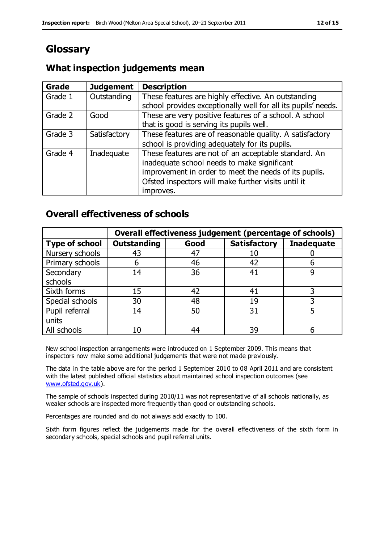# **Glossary**

## **What inspection judgements mean**

| <b>Grade</b> | <b>Judgement</b> | <b>Description</b>                                            |
|--------------|------------------|---------------------------------------------------------------|
| Grade 1      | Outstanding      | These features are highly effective. An outstanding           |
|              |                  | school provides exceptionally well for all its pupils' needs. |
| Grade 2      | Good             | These are very positive features of a school. A school        |
|              |                  | that is good is serving its pupils well.                      |
| Grade 3      | Satisfactory     | These features are of reasonable quality. A satisfactory      |
|              |                  | school is providing adequately for its pupils.                |
| Grade 4      | Inadequate       | These features are not of an acceptable standard. An          |
|              |                  | inadequate school needs to make significant                   |
|              |                  | improvement in order to meet the needs of its pupils.         |
|              |                  | Ofsted inspectors will make further visits until it           |
|              |                  | improves.                                                     |

## **Overall effectiveness of schools**

|                       |                    |      | Overall effectiveness judgement (percentage of schools) |                   |
|-----------------------|--------------------|------|---------------------------------------------------------|-------------------|
| <b>Type of school</b> | <b>Outstanding</b> | Good | <b>Satisfactory</b>                                     | <b>Inadequate</b> |
| Nursery schools       | 43                 | 47   | 10                                                      |                   |
| Primary schools       | 6                  | 46   | 42                                                      |                   |
| Secondary             | 14                 | 36   | 41                                                      |                   |
| schools               |                    |      |                                                         |                   |
| Sixth forms           | 15                 | 42   | 41                                                      | 3                 |
| Special schools       | 30                 | 48   | 19                                                      |                   |
| Pupil referral        | 14                 | 50   | 31                                                      |                   |
| units                 |                    |      |                                                         |                   |
| All schools           | 10                 | 44   | 39                                                      |                   |

New school inspection arrangements were introduced on 1 September 2009. This means that inspectors now make some additional judgements that were not made previously.

The data in the table above are for the period 1 September 2010 to 08 April 2011 and are consistent with the latest published official statistics about maintained school inspection outcomes (see [www.ofsted.gov.uk\)](http://www.ofsted.gov.uk/).

The sample of schools inspected during 2010/11 was not representative of all schools nationally, as weaker schools are inspected more frequently than good or outstanding schools.

Percentages are rounded and do not always add exactly to 100.

Sixth form figures reflect the judgements made for the overall effectiveness of the sixth form in secondary schools, special schools and pupil referral units.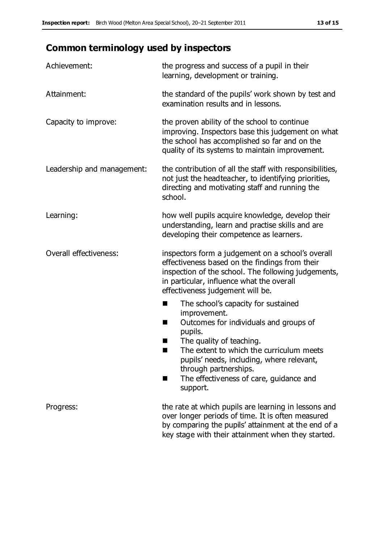# **Common terminology used by inspectors**

| Achievement:                  | the progress and success of a pupil in their<br>learning, development or training.                                                                                                                                                                                                                                           |
|-------------------------------|------------------------------------------------------------------------------------------------------------------------------------------------------------------------------------------------------------------------------------------------------------------------------------------------------------------------------|
| Attainment:                   | the standard of the pupils' work shown by test and<br>examination results and in lessons.                                                                                                                                                                                                                                    |
| Capacity to improve:          | the proven ability of the school to continue<br>improving. Inspectors base this judgement on what<br>the school has accomplished so far and on the<br>quality of its systems to maintain improvement.                                                                                                                        |
| Leadership and management:    | the contribution of all the staff with responsibilities,<br>not just the headteacher, to identifying priorities,<br>directing and motivating staff and running the<br>school.                                                                                                                                                |
| Learning:                     | how well pupils acquire knowledge, develop their<br>understanding, learn and practise skills and are<br>developing their competence as learners.                                                                                                                                                                             |
| <b>Overall effectiveness:</b> | inspectors form a judgement on a school's overall<br>effectiveness based on the findings from their<br>inspection of the school. The following judgements,<br>in particular, influence what the overall<br>effectiveness judgement will be.                                                                                  |
|                               | The school's capacity for sustained<br>■<br>improvement.<br>Outcomes for individuals and groups of<br>H<br>pupils.<br>The quality of teaching.<br>The extent to which the curriculum meets<br>pupils' needs, including, where relevant,<br>through partnerships.<br>The effectiveness of care, guidance and<br>٠<br>support. |
| Progress:                     | the rate at which pupils are learning in lessons and<br>over longer periods of time. It is often measured<br>by comparing the pupils' attainment at the end of a<br>key stage with their attainment when they started.                                                                                                       |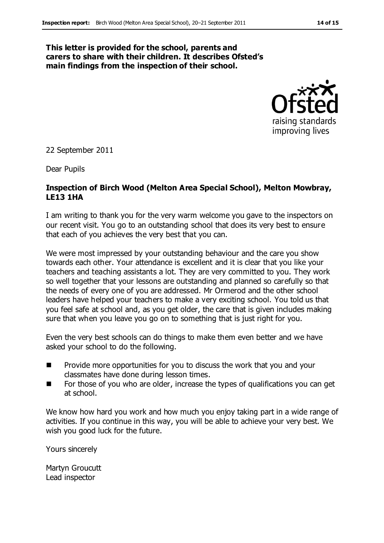#### **This letter is provided for the school, parents and carers to share with their children. It describes Ofsted's main findings from the inspection of their school.**



22 September 2011

Dear Pupils

#### **Inspection of Birch Wood (Melton Area Special School), Melton Mowbray, LE13 1HA**

I am writing to thank you for the very warm welcome you gave to the inspectors on our recent visit. You go to an outstanding school that does its very best to ensure that each of you achieves the very best that you can.

We were most impressed by your outstanding behaviour and the care you show towards each other. Your attendance is excellent and it is clear that you like your teachers and teaching assistants a lot. They are very committed to you. They work so well together that your lessons are outstanding and planned so carefully so that the needs of every one of you are addressed. Mr Ormerod and the other school leaders have helped your teachers to make a very exciting school. You told us that you feel safe at school and, as you get older, the care that is given includes making sure that when you leave you go on to something that is just right for you.

Even the very best schools can do things to make them even better and we have asked your school to do the following.

- $\blacksquare$  Provide more opportunities for you to discuss the work that you and your classmates have done during lesson times.
- For those of you who are older, increase the types of qualifications you can get at school.

We know how hard you work and how much you enjoy taking part in a wide range of activities. If you continue in this way, you will be able to achieve your very best. We wish you good luck for the future.

Yours sincerely

Martyn Groucutt Lead inspector